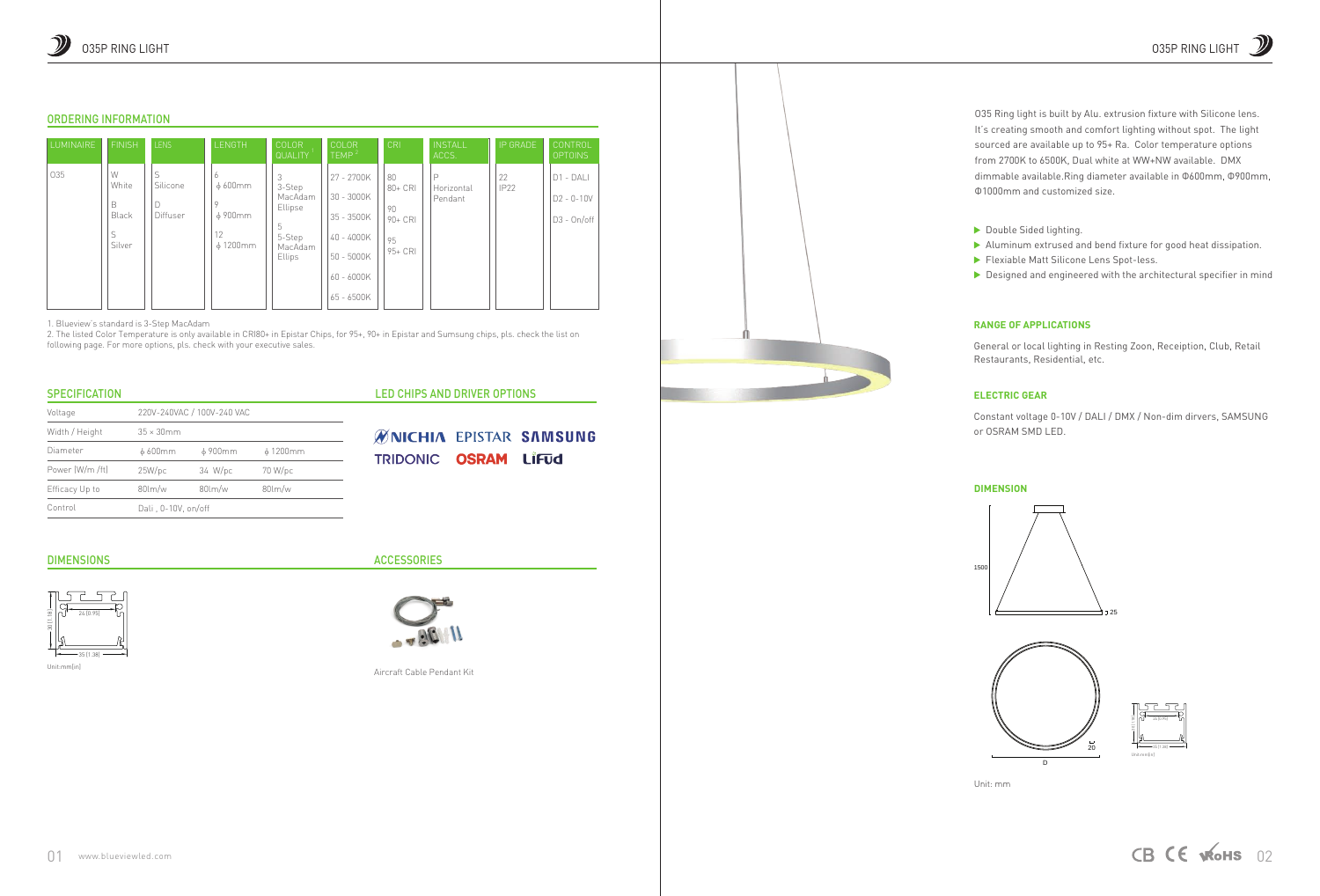# **RANGE OF APPLICATIONS**

General or local lighting in Resting Zoon, Receiption, Club, Retail Restaurants, Residential, etc.

- Flexiable Matt Silicone Lens Spot-less. Aluminum extrused and bend fixture for good heat dissipation.
- ▶ Designed and engineered with the architectural specifier in mind

### **ELECTRIC GEAR**

Constant voltage 0-10V / DALI / DMX / Non-dim dirvers, SAMSUNG or OSRAM SMD LED.

#### **DIMENSION**

O35 Ring light is built by Alu. extrusion fixture with Silicone lens. It's creating smooth and comfort lighting without spot. The light sourced are available up to 95+ Ra. Color temperature options from 2700K to 6500K, Dual white at WW+NW available. DMX dimmable available.Ring diameter available in Φ600mm, Φ900mm, Φ1000mm and customized size.

Double Sided lighting.

1500

Unit: mm





# ORDERING INFORMATION

| <b>LUMINAIRE</b> | <b>FINISH</b>                           | <b>LENS</b>               | <b>LENGTH</b>                                                        | <b>COLOR</b><br><b>QUALITY</b>                                               | COLOR<br>TEMP <sup>2</sup>                                                                                 | CRI                                                 | <b>INSTALL</b><br>ACCS.    | IP GRADE          | CONTROL<br><b>OPTOINS</b>                     |
|------------------|-----------------------------------------|---------------------------|----------------------------------------------------------------------|------------------------------------------------------------------------------|------------------------------------------------------------------------------------------------------------|-----------------------------------------------------|----------------------------|-------------------|-----------------------------------------------|
| 035              | W<br>White<br>B<br>Black<br>S<br>Silver | S<br>Silicone<br>Diffuser | 6<br>$\phi$ 600 mm<br>$\circ$<br>$\phi$ 900mm<br>12<br>$\phi$ 1200mm | 3<br>3-Step<br>MacAdam<br>Ellipse<br>5<br>5-Step<br>MacAdam<br><b>Ellips</b> | 27 - 2700K<br>$30 - 3000K$<br>$35 - 3500K$<br>$40 - 4000K$<br>$50 - 5000K$<br>$60 - 6000K$<br>$65 - 6500K$ | 80<br>$80 + CR$<br>90<br>$90 + CR$<br>95<br>95+ CRI | P<br>Horizontal<br>Pendant | 22<br><b>IP22</b> | $D1 - DAL$<br>$D2 - 0 - 10V$<br>$D3 - On/off$ |

1. Blueview's standard is 3-Step MacAdam

2. The listed Color Temperature is only available in CRI80+ in Epistar Chips, for 95+, 90+ in Epistar and Sumsung chips, pls. check the list on following page. For more options, pls. check with your executive sales.

### **SPECIFICATION**

Unit:mm[in]

# **ACCESSORIES**





| Voltage         | 220V-240VAC / 100V-240 VAC |                      |                      |  |  |  |
|-----------------|----------------------------|----------------------|----------------------|--|--|--|
| Width / Height  | $35 \times 30$ mm          |                      |                      |  |  |  |
| Diameter        | $\phi$ 600 mm              | ф 900mm              | $\phi$ 1200mm        |  |  |  |
| Power (W/m /ft) | 25W/pc                     | 34 W/pc              | 70 W/pc              |  |  |  |
| Efficacy Up to  | $80$ lm/w                  | $80 \, \mathrm{m/w}$ | $80 \, \mathrm{m/w}$ |  |  |  |
| Control         | Dali, 0-10V, on/off        |                      |                      |  |  |  |

#### DIMENSIONS

Aircraft Cable Pendant Kit



- 
- 

# LED CHIPS AND DRIVER OPTIONS

**ØNICHIA EPISTAR SAMSUNG** TRIDONIC OSRAM LIFUd